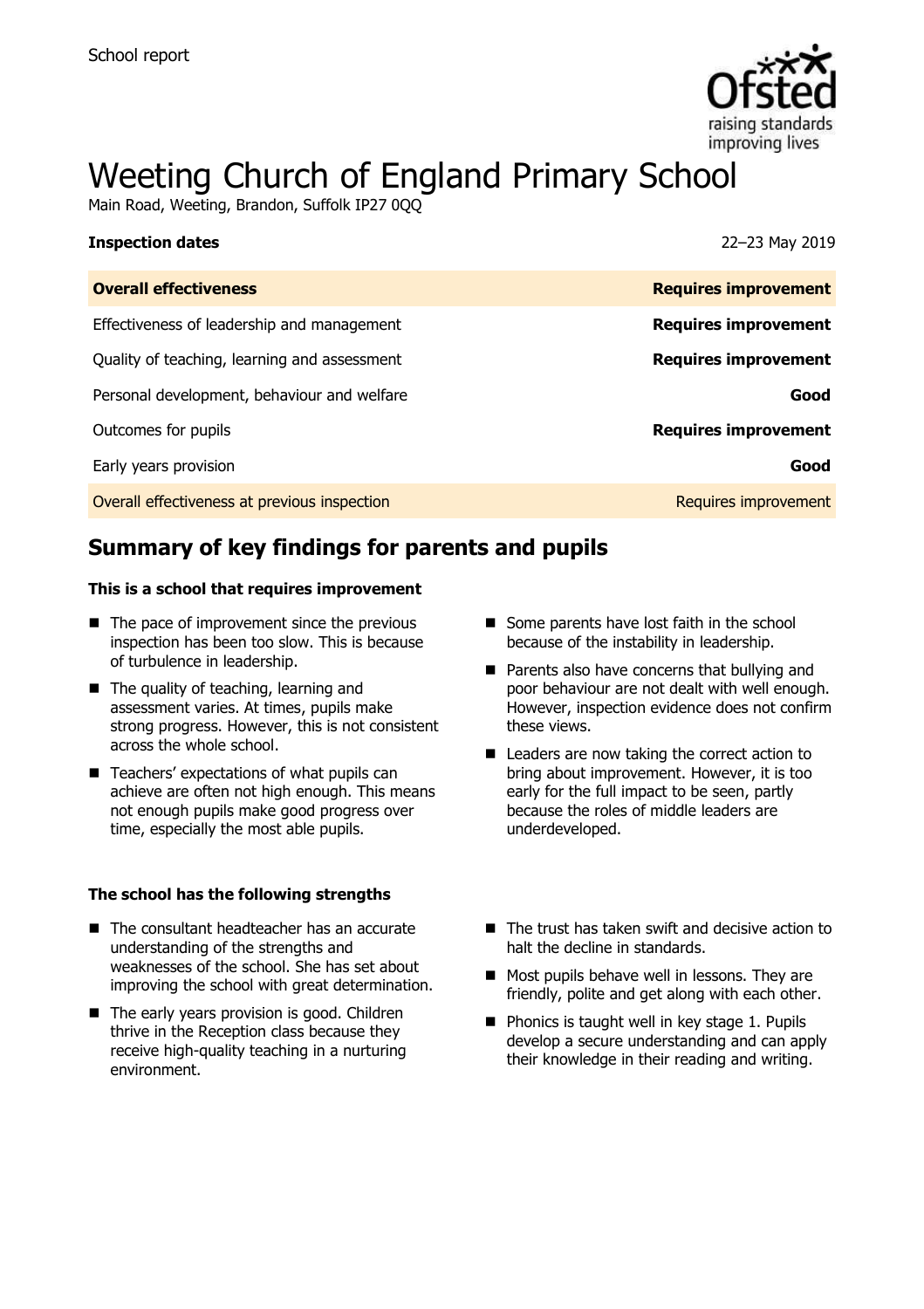

# Weeting Church of England Primary School

Main Road, Weeting, Brandon, Suffolk IP27 000

| <b>Inspection dates</b>                      | 22-23 May 2019              |
|----------------------------------------------|-----------------------------|
| <b>Overall effectiveness</b>                 | <b>Requires improvement</b> |
| Effectiveness of leadership and management   | <b>Requires improvement</b> |
| Quality of teaching, learning and assessment | <b>Requires improvement</b> |
| Personal development, behaviour and welfare  | Good                        |
| Outcomes for pupils                          | <b>Requires improvement</b> |
| Early years provision                        | Good                        |
| Overall effectiveness at previous inspection | Requires improvement        |
|                                              |                             |

# **Summary of key findings for parents and pupils**

### **This is a school that requires improvement**

- $\blacksquare$  The pace of improvement since the previous inspection has been too slow. This is because of turbulence in leadership.
- The quality of teaching, learning and assessment varies. At times, pupils make strong progress. However, this is not consistent across the whole school.
- Teachers' expectations of what pupils can achieve are often not high enough. This means not enough pupils make good progress over time, especially the most able pupils.

### **The school has the following strengths**

- The consultant headteacher has an accurate understanding of the strengths and weaknesses of the school. She has set about improving the school with great determination.
- The early years provision is good. Children thrive in the Reception class because they receive high-quality teaching in a nurturing environment.
- Some parents have lost faith in the school because of the instability in leadership.
- **Parents also have concerns that bullying and** poor behaviour are not dealt with well enough. However, inspection evidence does not confirm these views.
- Leaders are now taking the correct action to bring about improvement. However, it is too early for the full impact to be seen, partly because the roles of middle leaders are underdeveloped.
- The trust has taken swift and decisive action to halt the decline in standards.
- Most pupils behave well in lessons. They are friendly, polite and get along with each other.
- $\blacksquare$  Phonics is taught well in key stage 1. Pupils develop a secure understanding and can apply their knowledge in their reading and writing.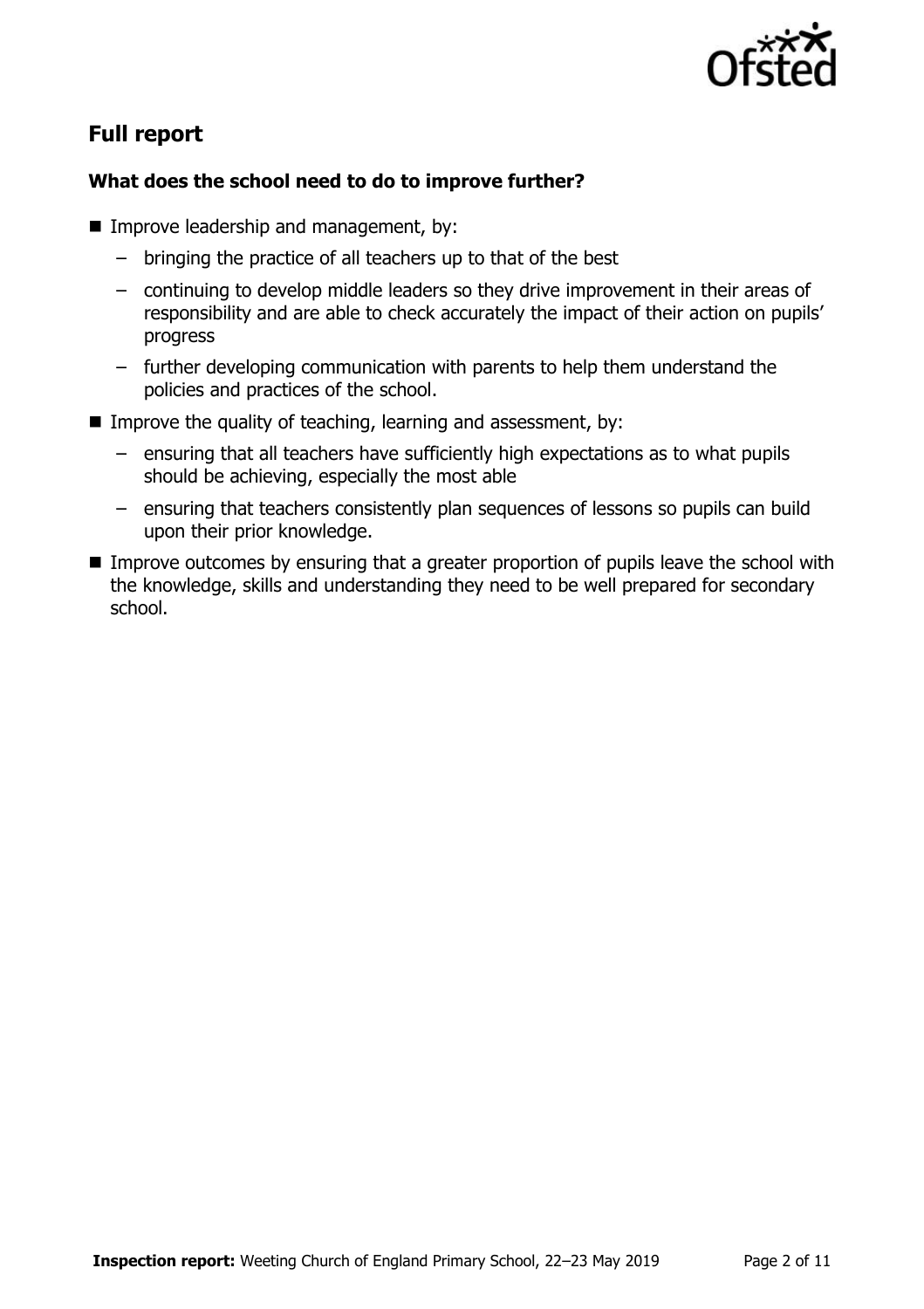

# **Full report**

### **What does the school need to do to improve further?**

- **Improve leadership and management, by:** 
	- bringing the practice of all teachers up to that of the best
	- continuing to develop middle leaders so they drive improvement in their areas of responsibility and are able to check accurately the impact of their action on pupils' progress
	- further developing communication with parents to help them understand the policies and practices of the school.
- Improve the quality of teaching, learning and assessment, by:
	- ensuring that all teachers have sufficiently high expectations as to what pupils should be achieving, especially the most able
	- ensuring that teachers consistently plan sequences of lessons so pupils can build upon their prior knowledge.
- **IMPROVE OUTCOMES by ensuring that a greater proportion of pupils leave the school with** the knowledge, skills and understanding they need to be well prepared for secondary school.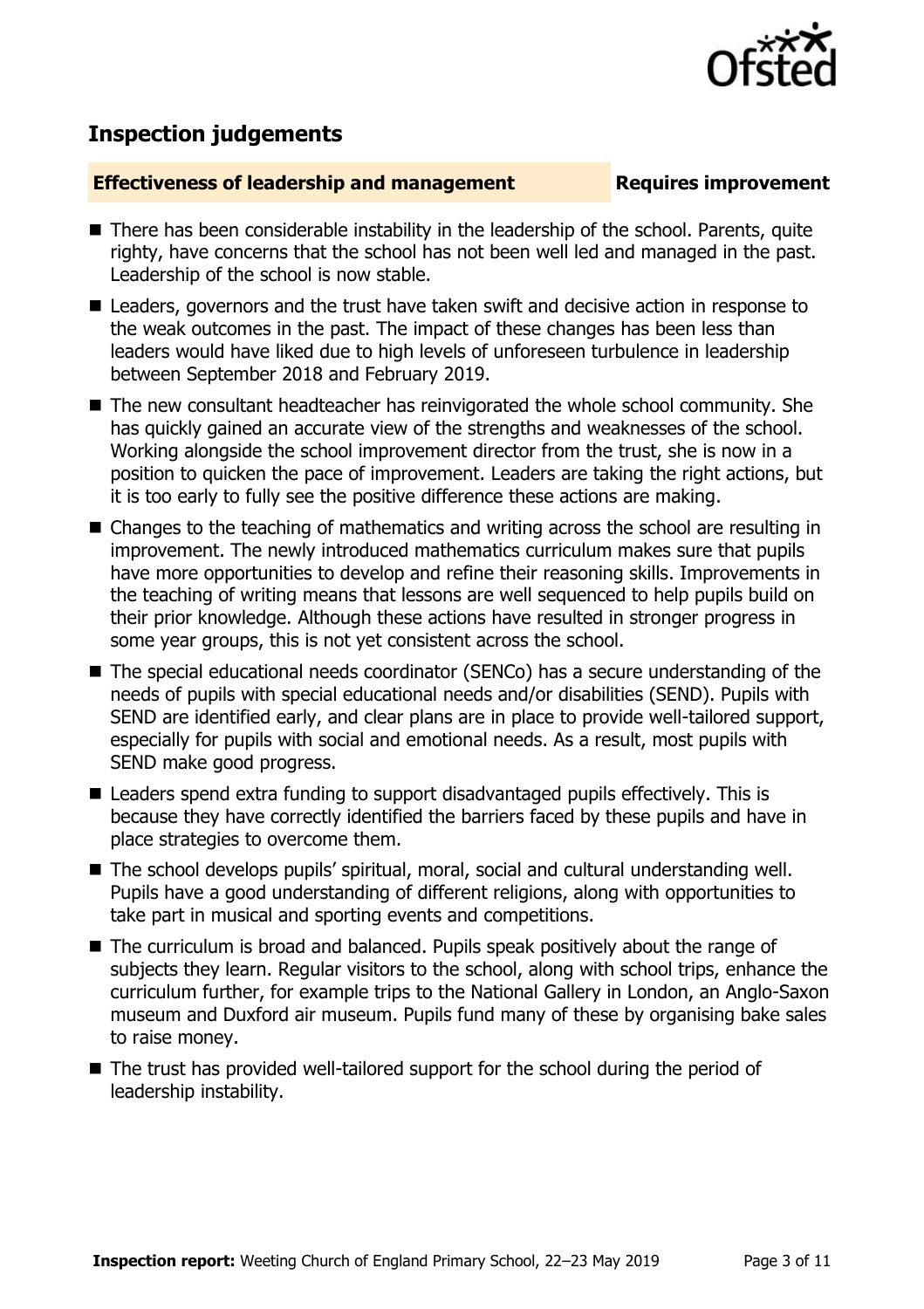

## **Inspection judgements**

### **Effectiveness of leadership and management Requires improvement**

- There has been considerable instability in the leadership of the school. Parents, quite righty, have concerns that the school has not been well led and managed in the past. Leadership of the school is now stable.
- Leaders, governors and the trust have taken swift and decisive action in response to the weak outcomes in the past. The impact of these changes has been less than leaders would have liked due to high levels of unforeseen turbulence in leadership between September 2018 and February 2019.
- The new consultant headteacher has reinvigorated the whole school community. She has quickly gained an accurate view of the strengths and weaknesses of the school. Working alongside the school improvement director from the trust, she is now in a position to quicken the pace of improvement. Leaders are taking the right actions, but it is too early to fully see the positive difference these actions are making.
- Changes to the teaching of mathematics and writing across the school are resulting in improvement. The newly introduced mathematics curriculum makes sure that pupils have more opportunities to develop and refine their reasoning skills. Improvements in the teaching of writing means that lessons are well sequenced to help pupils build on their prior knowledge. Although these actions have resulted in stronger progress in some year groups, this is not yet consistent across the school.
- The special educational needs coordinator (SENCo) has a secure understanding of the needs of pupils with special educational needs and/or disabilities (SEND). Pupils with SEND are identified early, and clear plans are in place to provide well-tailored support, especially for pupils with social and emotional needs. As a result, most pupils with SEND make good progress.
- Leaders spend extra funding to support disadvantaged pupils effectively. This is because they have correctly identified the barriers faced by these pupils and have in place strategies to overcome them.
- The school develops pupils' spiritual, moral, social and cultural understanding well. Pupils have a good understanding of different religions, along with opportunities to take part in musical and sporting events and competitions.
- The curriculum is broad and balanced. Pupils speak positively about the range of subjects they learn. Regular visitors to the school, along with school trips, enhance the curriculum further, for example trips to the National Gallery in London, an Anglo-Saxon museum and Duxford air museum. Pupils fund many of these by organising bake sales to raise money.
- The trust has provided well-tailored support for the school during the period of leadership instability.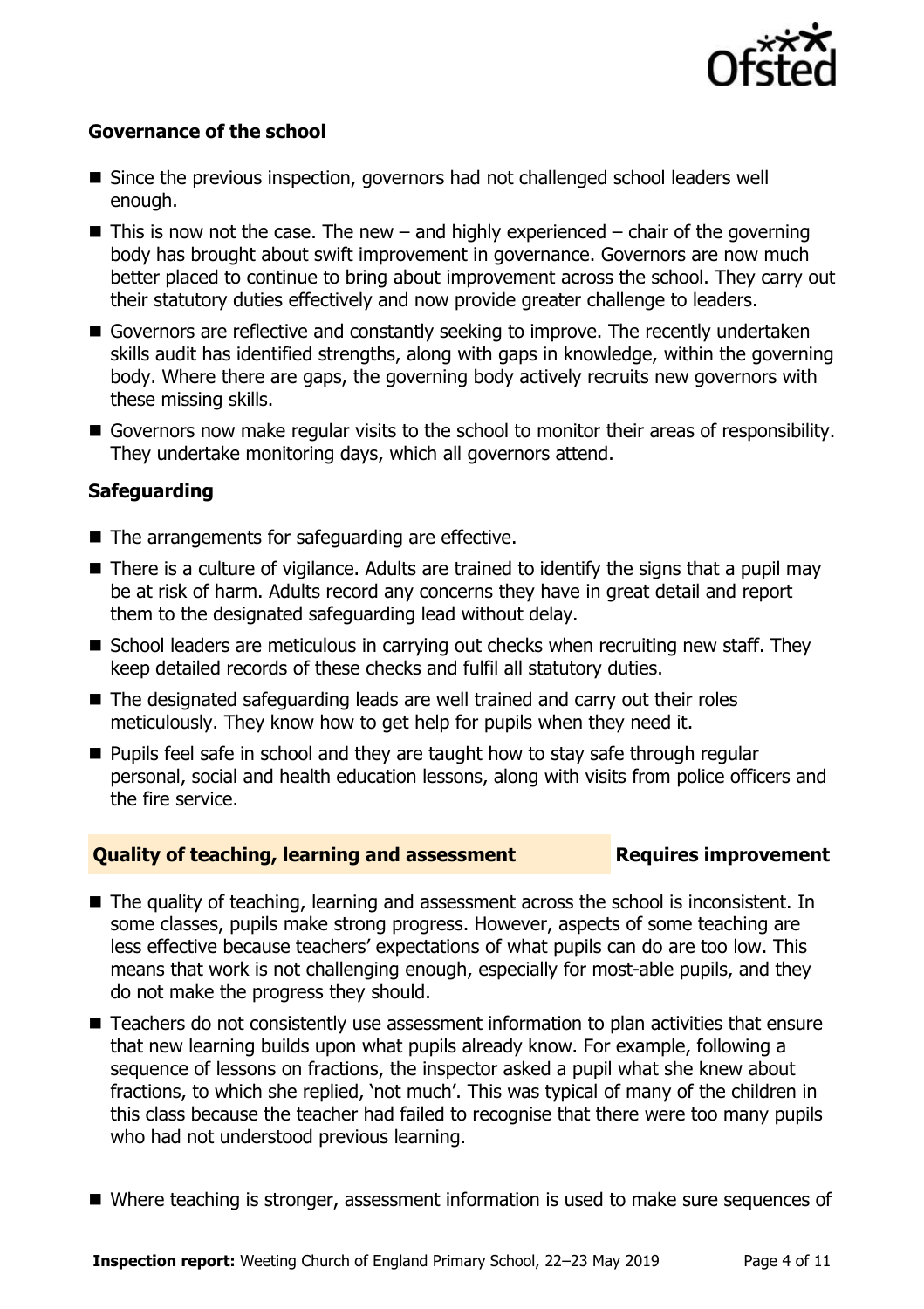

### **Governance of the school**

- Since the previous inspection, governors had not challenged school leaders well enough.
- $\blacksquare$  This is now not the case. The new and highly experienced chair of the governing body has brought about swift improvement in governance. Governors are now much better placed to continue to bring about improvement across the school. They carry out their statutory duties effectively and now provide greater challenge to leaders.
- Governors are reflective and constantly seeking to improve. The recently undertaken skills audit has identified strengths, along with gaps in knowledge, within the governing body. Where there are gaps, the governing body actively recruits new governors with these missing skills.
- Governors now make regular visits to the school to monitor their areas of responsibility. They undertake monitoring days, which all governors attend.

### **Safeguarding**

- $\blacksquare$  The arrangements for safeguarding are effective.
- There is a culture of vigilance. Adults are trained to identify the signs that a pupil may be at risk of harm. Adults record any concerns they have in great detail and report them to the designated safeguarding lead without delay.
- School leaders are meticulous in carrying out checks when recruiting new staff. They keep detailed records of these checks and fulfil all statutory duties.
- The designated safeguarding leads are well trained and carry out their roles meticulously. They know how to get help for pupils when they need it.
- **Pupils feel safe in school and they are taught how to stay safe through regular** personal, social and health education lessons, along with visits from police officers and the fire service.

### **Quality of teaching, learning and assessment Fig. 2.1 Requires improvement**

- The quality of teaching, learning and assessment across the school is inconsistent. In some classes, pupils make strong progress. However, aspects of some teaching are less effective because teachers' expectations of what pupils can do are too low. This means that work is not challenging enough, especially for most-able pupils, and they do not make the progress they should.
- Teachers do not consistently use assessment information to plan activities that ensure that new learning builds upon what pupils already know. For example, following a sequence of lessons on fractions, the inspector asked a pupil what she knew about fractions, to which she replied, 'not much'. This was typical of many of the children in this class because the teacher had failed to recognise that there were too many pupils who had not understood previous learning.
- Where teaching is stronger, assessment information is used to make sure sequences of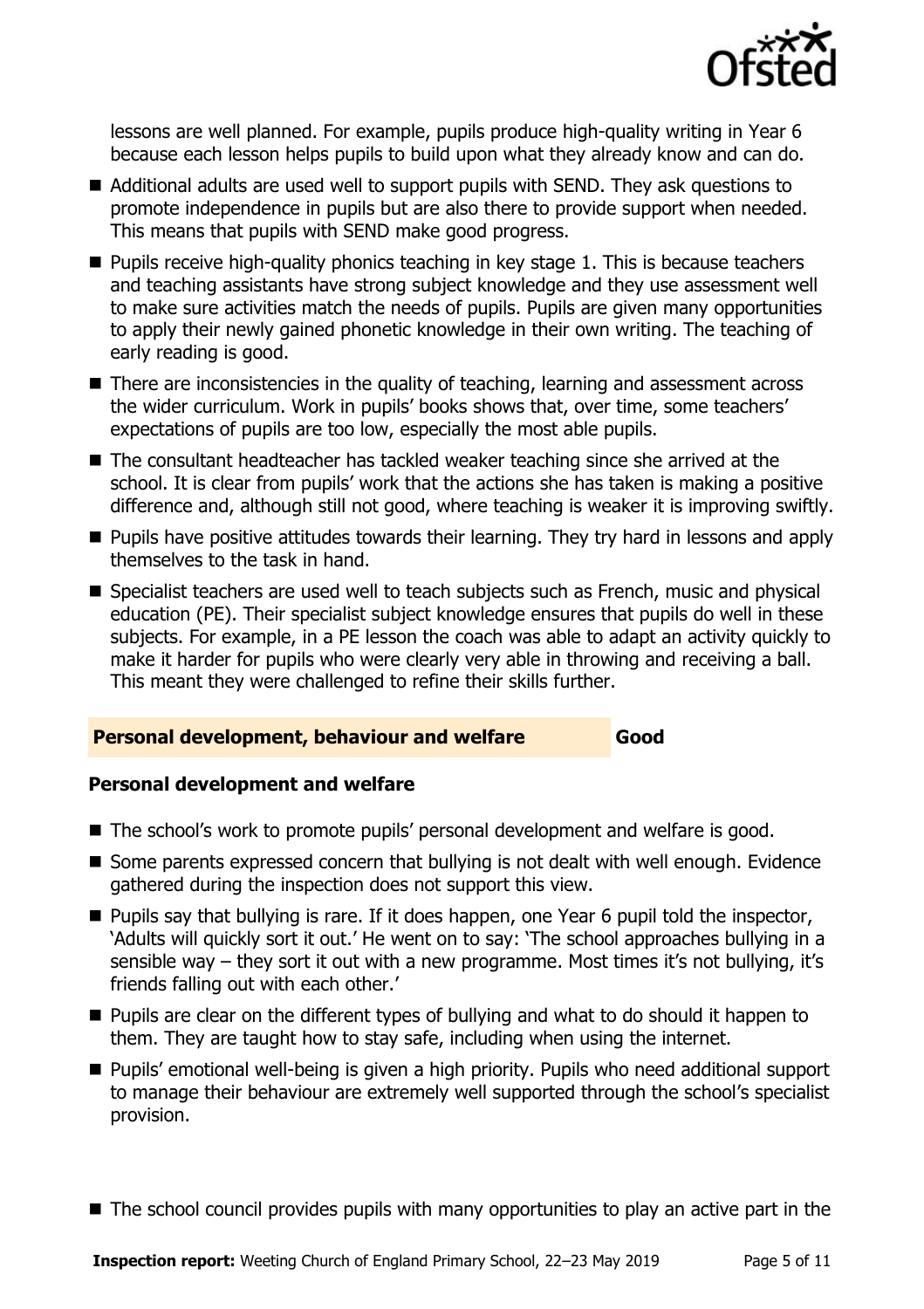

lessons are well planned. For example, pupils produce high-quality writing in Year 6 because each lesson helps pupils to build upon what they already know and can do.

- Additional adults are used well to support pupils with SEND. They ask questions to promote independence in pupils but are also there to provide support when needed. This means that pupils with SEND make good progress.
- $\blacksquare$  Pupils receive high-quality phonics teaching in key stage 1. This is because teachers and teaching assistants have strong subject knowledge and they use assessment well to make sure activities match the needs of pupils. Pupils are given many opportunities to apply their newly gained phonetic knowledge in their own writing. The teaching of early reading is good.
- There are inconsistencies in the quality of teaching, learning and assessment across the wider curriculum. Work in pupils' books shows that, over time, some teachers' expectations of pupils are too low, especially the most able pupils.
- The consultant headteacher has tackled weaker teaching since she arrived at the school. It is clear from pupils' work that the actions she has taken is making a positive difference and, although still not good, where teaching is weaker it is improving swiftly.
- **Pupils have positive attitudes towards their learning. They try hard in lessons and apply** themselves to the task in hand.
- Specialist teachers are used well to teach subjects such as French, music and physical education (PE). Their specialist subject knowledge ensures that pupils do well in these subjects. For example, in a PE lesson the coach was able to adapt an activity quickly to make it harder for pupils who were clearly very able in throwing and receiving a ball. This meant they were challenged to refine their skills further.

### **Personal development, behaviour and welfare Good**

### **Personal development and welfare**

- The school's work to promote pupils' personal development and welfare is good.
- Some parents expressed concern that bullying is not dealt with well enough. Evidence gathered during the inspection does not support this view.
- **Pupils say that bullying is rare. If it does happen, one Year 6 pupil told the inspector,** 'Adults will quickly sort it out.' He went on to say: 'The school approaches bullying in a sensible way – they sort it out with a new programme. Most times it's not bullying, it's friends falling out with each other.'
- **Pupils are clear on the different types of bullying and what to do should it happen to** them. They are taught how to stay safe, including when using the internet.
- Pupils' emotional well-being is given a high priority. Pupils who need additional support to manage their behaviour are extremely well supported through the school's specialist provision.
- The school council provides pupils with many opportunities to play an active part in the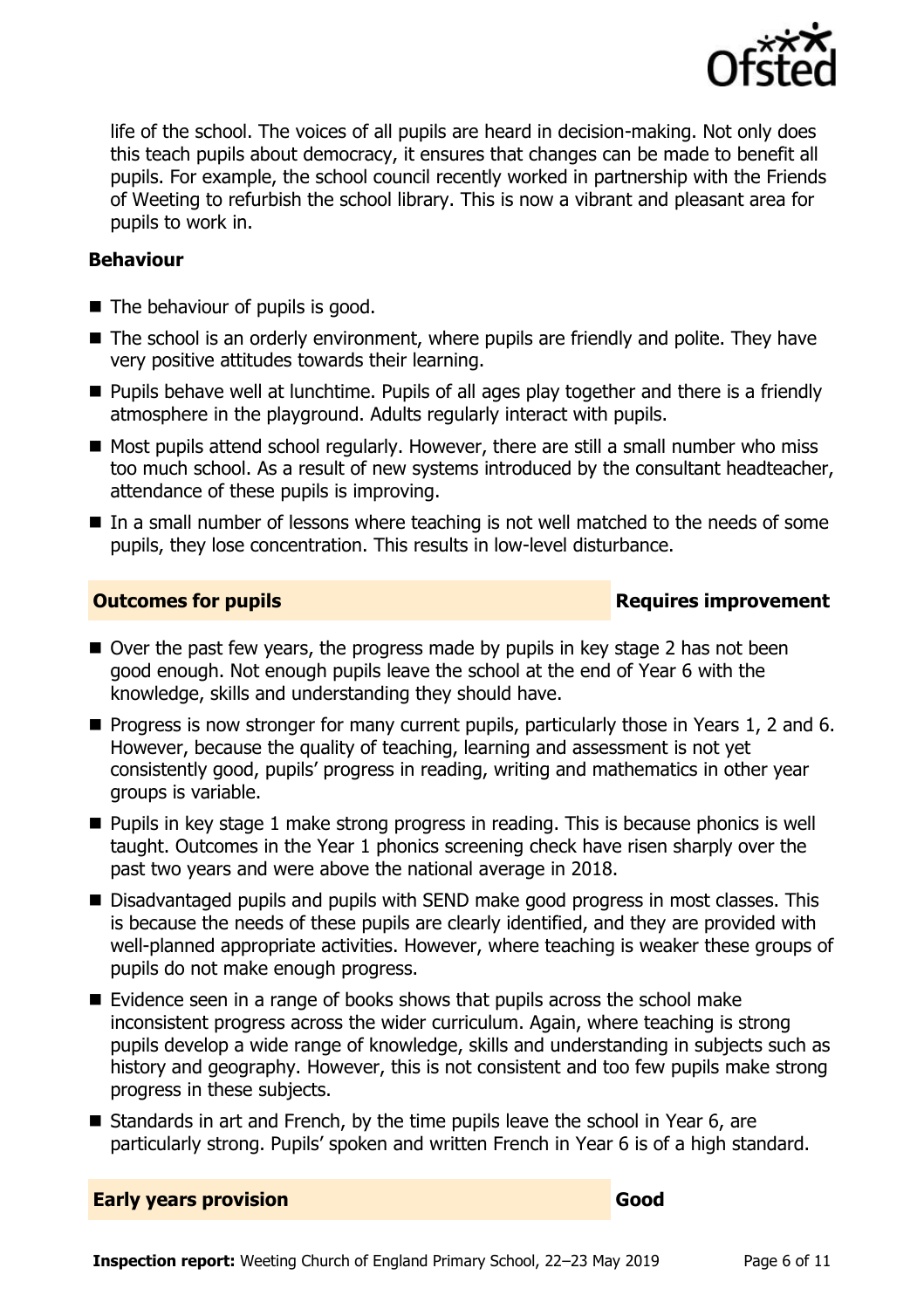

life of the school. The voices of all pupils are heard in decision-making. Not only does this teach pupils about democracy, it ensures that changes can be made to benefit all pupils. For example, the school council recently worked in partnership with the Friends of Weeting to refurbish the school library. This is now a vibrant and pleasant area for pupils to work in.

### **Behaviour**

- The behaviour of pupils is good.
- The school is an orderly environment, where pupils are friendly and polite. They have very positive attitudes towards their learning.
- **Pupils behave well at lunchtime. Pupils of all ages play together and there is a friendly** atmosphere in the playground. Adults regularly interact with pupils.
- $\blacksquare$  Most pupils attend school regularly. However, there are still a small number who miss too much school. As a result of new systems introduced by the consultant headteacher, attendance of these pupils is improving.
- In a small number of lessons where teaching is not well matched to the needs of some pupils, they lose concentration. This results in low-level disturbance.

### **Outcomes for pupils Requires improvement**

- $\blacksquare$  Over the past few years, the progress made by pupils in key stage 2 has not been good enough. Not enough pupils leave the school at the end of Year 6 with the knowledge, skills and understanding they should have.
- **Progress is now stronger for many current pupils, particularly those in Years 1, 2 and 6.** However, because the quality of teaching, learning and assessment is not yet consistently good, pupils' progress in reading, writing and mathematics in other year groups is variable.
- **Pupils in key stage 1 make strong progress in reading. This is because phonics is well** taught. Outcomes in the Year 1 phonics screening check have risen sharply over the past two years and were above the national average in 2018.
- Disadvantaged pupils and pupils with SEND make good progress in most classes. This is because the needs of these pupils are clearly identified, and they are provided with well-planned appropriate activities. However, where teaching is weaker these groups of pupils do not make enough progress.
- Evidence seen in a range of books shows that pupils across the school make inconsistent progress across the wider curriculum. Again, where teaching is strong pupils develop a wide range of knowledge, skills and understanding in subjects such as history and geography. However, this is not consistent and too few pupils make strong progress in these subjects.
- Standards in art and French, by the time pupils leave the school in Year 6, are particularly strong. Pupils' spoken and written French in Year 6 is of a high standard.

**Early years provision Good Good**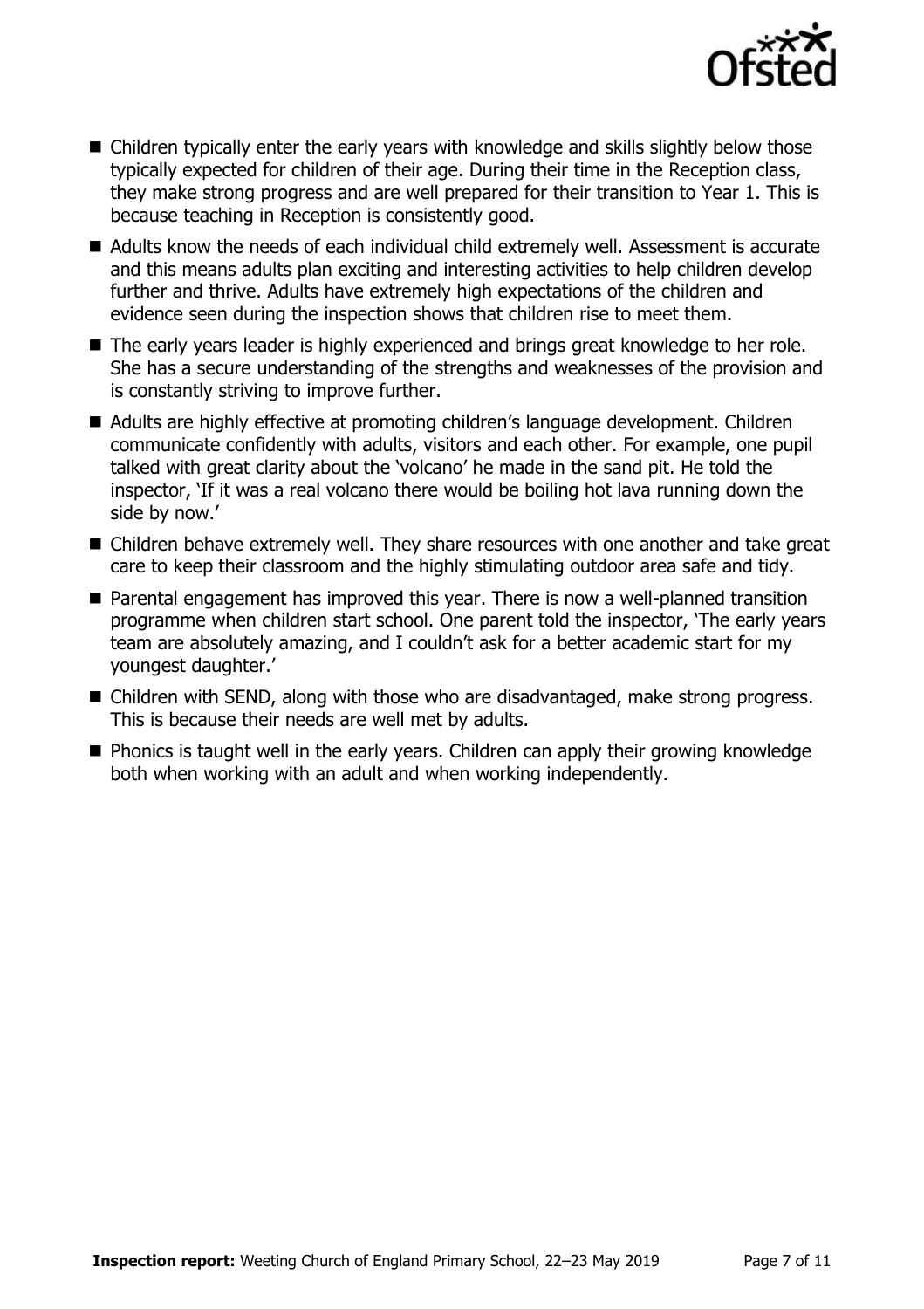

- Children typically enter the early years with knowledge and skills slightly below those typically expected for children of their age. During their time in the Reception class, they make strong progress and are well prepared for their transition to Year 1. This is because teaching in Reception is consistently good.
- Adults know the needs of each individual child extremely well. Assessment is accurate and this means adults plan exciting and interesting activities to help children develop further and thrive. Adults have extremely high expectations of the children and evidence seen during the inspection shows that children rise to meet them.
- The early years leader is highly experienced and brings great knowledge to her role. She has a secure understanding of the strengths and weaknesses of the provision and is constantly striving to improve further.
- Adults are highly effective at promoting children's language development. Children communicate confidently with adults, visitors and each other. For example, one pupil talked with great clarity about the 'volcano' he made in the sand pit. He told the inspector, 'If it was a real volcano there would be boiling hot lava running down the side by now.'
- Children behave extremely well. They share resources with one another and take great care to keep their classroom and the highly stimulating outdoor area safe and tidy.
- Parental engagement has improved this year. There is now a well-planned transition programme when children start school. One parent told the inspector, 'The early years team are absolutely amazing, and I couldn't ask for a better academic start for my youngest daughter.'
- Children with SEND, along with those who are disadvantaged, make strong progress. This is because their needs are well met by adults.
- **Phonics is taught well in the early years. Children can apply their growing knowledge** both when working with an adult and when working independently.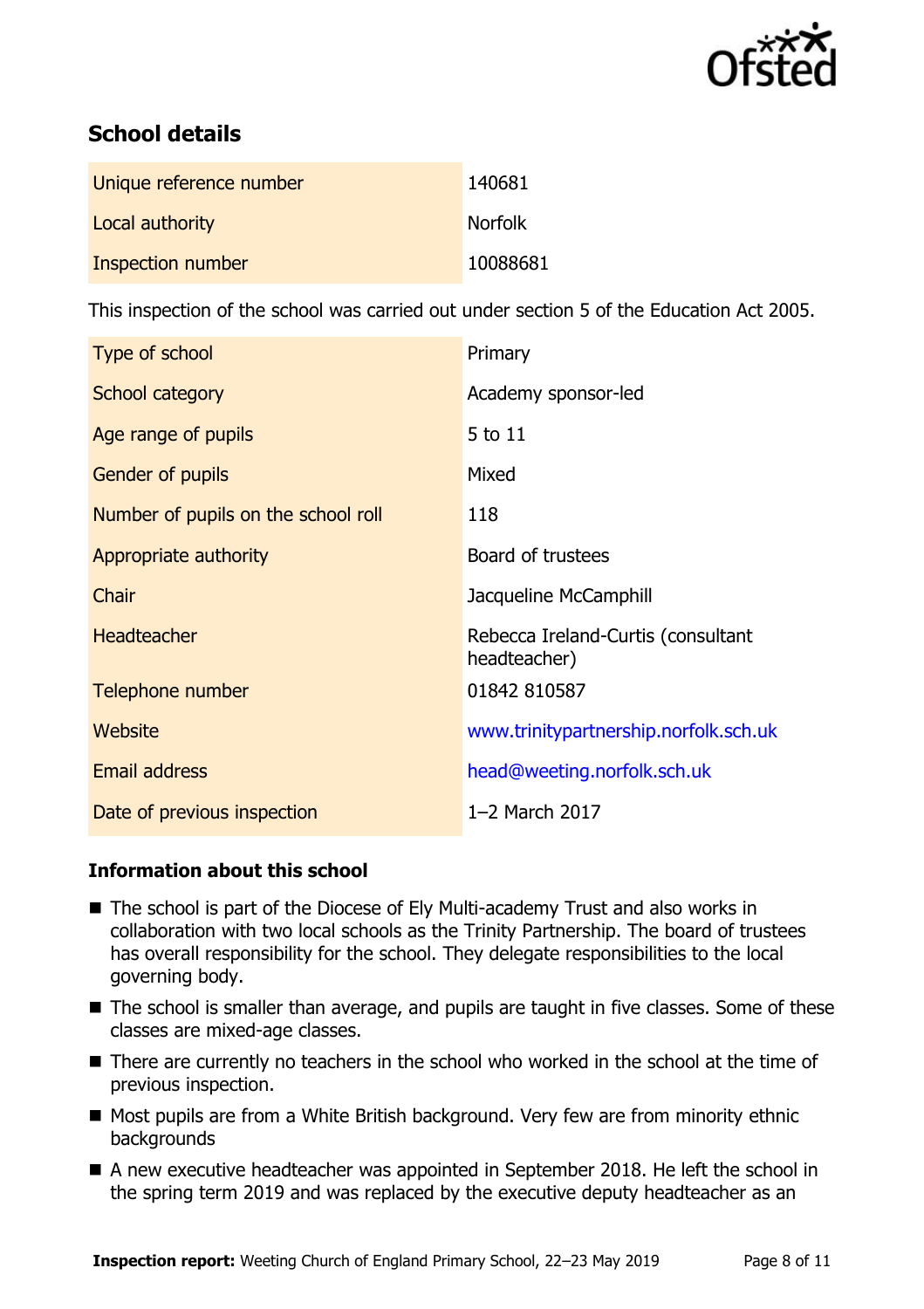

# **School details**

| Unique reference number | 140681         |
|-------------------------|----------------|
| Local authority         | <b>Norfolk</b> |
| Inspection number       | 10088681       |

This inspection of the school was carried out under section 5 of the Education Act 2005.

| Type of school                      | Primary                                            |
|-------------------------------------|----------------------------------------------------|
| School category                     | Academy sponsor-led                                |
| Age range of pupils                 | 5 to 11                                            |
| Gender of pupils                    | Mixed                                              |
| Number of pupils on the school roll | 118                                                |
| Appropriate authority               | Board of trustees                                  |
| Chair                               | Jacqueline McCamphill                              |
| <b>Headteacher</b>                  | Rebecca Ireland-Curtis (consultant<br>headteacher) |
| Telephone number                    | 01842 810587                                       |
| <b>Website</b>                      | www.trinitypartnership.norfolk.sch.uk              |
| Email address                       | head@weeting.norfolk.sch.uk                        |
| Date of previous inspection         | 1-2 March 2017                                     |

### **Information about this school**

- The school is part of the Diocese of Ely Multi-academy Trust and also works in collaboration with two local schools as the Trinity Partnership. The board of trustees has overall responsibility for the school. They delegate responsibilities to the local governing body.
- The school is smaller than average, and pupils are taught in five classes. Some of these classes are mixed-age classes.
- There are currently no teachers in the school who worked in the school at the time of previous inspection.
- Most pupils are from a White British background. Very few are from minority ethnic backgrounds
- A new executive headteacher was appointed in September 2018. He left the school in the spring term 2019 and was replaced by the executive deputy headteacher as an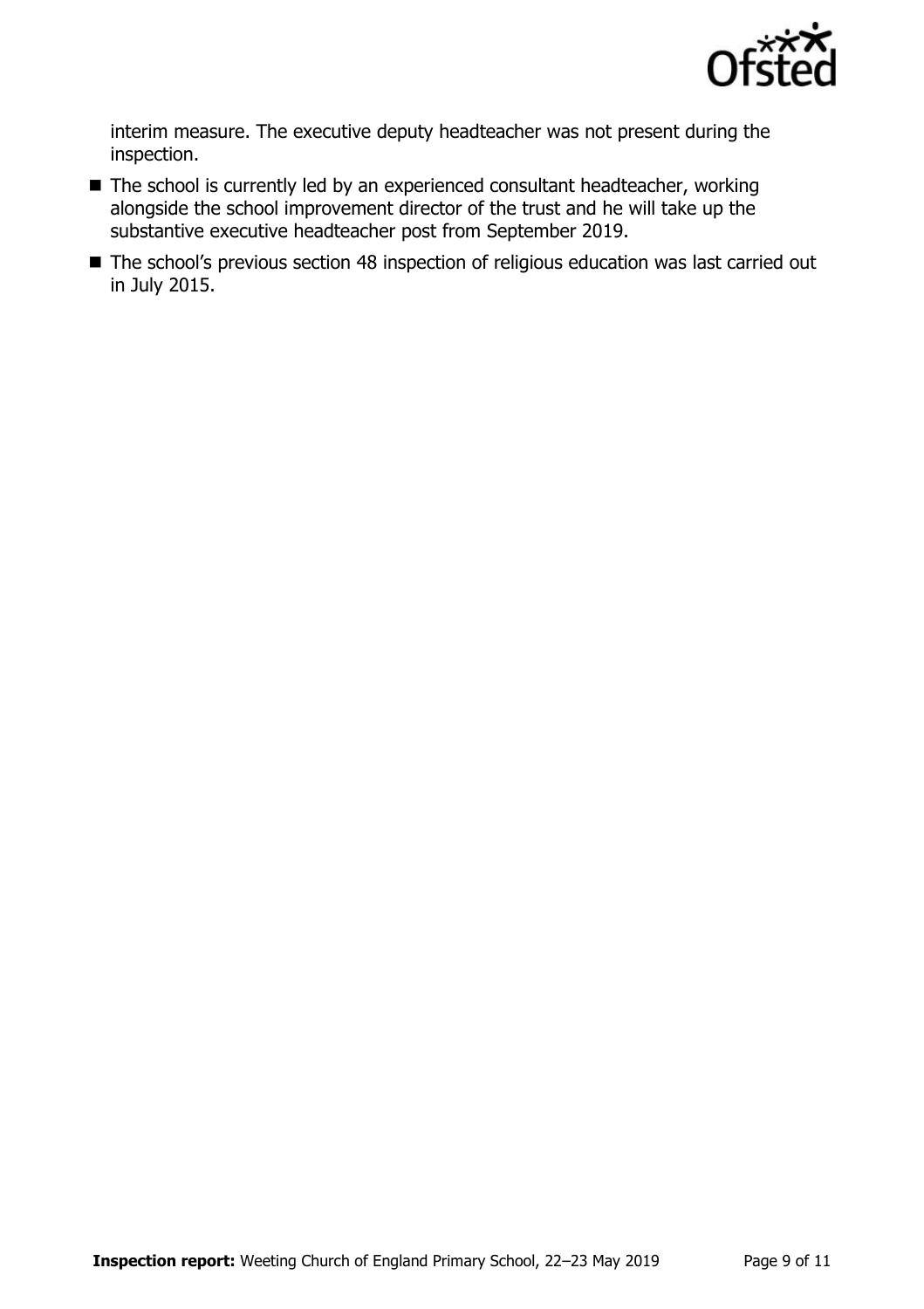

interim measure. The executive deputy headteacher was not present during the inspection.

- The school is currently led by an experienced consultant headteacher, working alongside the school improvement director of the trust and he will take up the substantive executive headteacher post from September 2019.
- The school's previous section 48 inspection of religious education was last carried out in July 2015.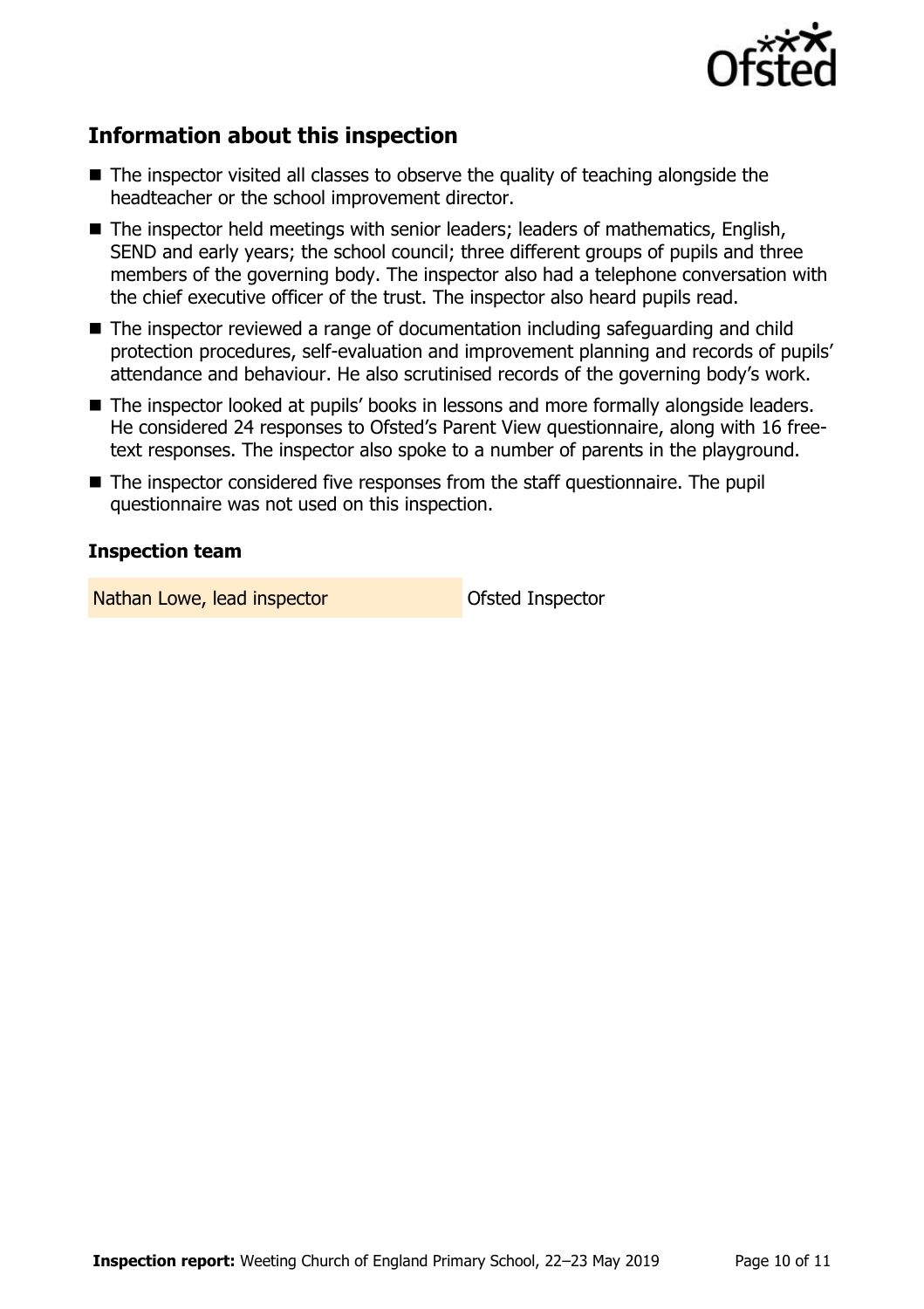

# **Information about this inspection**

- The inspector visited all classes to observe the quality of teaching alongside the headteacher or the school improvement director.
- The inspector held meetings with senior leaders; leaders of mathematics, English, SEND and early years; the school council; three different groups of pupils and three members of the governing body. The inspector also had a telephone conversation with the chief executive officer of the trust. The inspector also heard pupils read.
- The inspector reviewed a range of documentation including safeguarding and child protection procedures, self-evaluation and improvement planning and records of pupils' attendance and behaviour. He also scrutinised records of the governing body's work.
- The inspector looked at pupils' books in lessons and more formally alongside leaders. He considered 24 responses to Ofsted's Parent View questionnaire, along with 16 freetext responses. The inspector also spoke to a number of parents in the playground.
- The inspector considered five responses from the staff questionnaire. The pupil questionnaire was not used on this inspection.

### **Inspection team**

Nathan Lowe, lead inspector and offsted Inspector